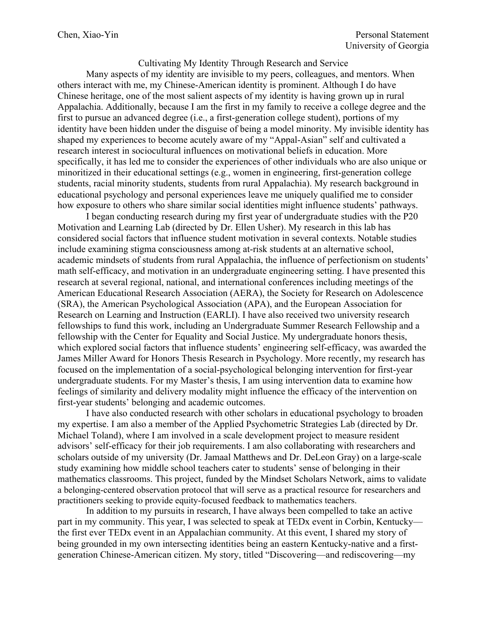Cultivating My Identity Through Research and Service

Many aspects of my identity are invisible to my peers, colleagues, and mentors. When others interact with me, my Chinese-American identity is prominent. Although I do have Chinese heritage, one of the most salient aspects of my identity is having grown up in rural Appalachia. Additionally, because I am the first in my family to receive a college degree and the first to pursue an advanced degree (i.e., a first-generation college student), portions of my identity have been hidden under the disguise of being a model minority. My invisible identity has shaped my experiences to become acutely aware of my "Appal-Asian" self and cultivated a research interest in sociocultural influences on motivational beliefs in education. More specifically, it has led me to consider the experiences of other individuals who are also unique or minoritized in their educational settings (e.g., women in engineering, first-generation college students, racial minority students, students from rural Appalachia). My research background in educational psychology and personal experiences leave me uniquely qualified me to consider how exposure to others who share similar social identities might influence students' pathways.

I began conducting research during my first year of undergraduate studies with the P20 Motivation and Learning Lab (directed by Dr. Ellen Usher). My research in this lab has considered social factors that influence student motivation in several contexts. Notable studies include examining stigma consciousness among at-risk students at an alternative school, academic mindsets of students from rural Appalachia, the influence of perfectionism on students' math self-efficacy, and motivation in an undergraduate engineering setting. I have presented this research at several regional, national, and international conferences including meetings of the American Educational Research Association (AERA), the Society for Research on Adolescence (SRA), the American Psychological Association (APA), and the European Association for Research on Learning and Instruction (EARLI). I have also received two university research fellowships to fund this work, including an Undergraduate Summer Research Fellowship and a fellowship with the Center for Equality and Social Justice. My undergraduate honors thesis, which explored social factors that influence students' engineering self-efficacy, was awarded the James Miller Award for Honors Thesis Research in Psychology. More recently, my research has focused on the implementation of a social-psychological belonging intervention for first-year undergraduate students. For my Master's thesis, I am using intervention data to examine how feelings of similarity and delivery modality might influence the efficacy of the intervention on first-year students' belonging and academic outcomes.

I have also conducted research with other scholars in educational psychology to broaden my expertise. I am also a member of the Applied Psychometric Strategies Lab (directed by Dr. Michael Toland), where I am involved in a scale development project to measure resident advisors' self-efficacy for their job requirements. I am also collaborating with researchers and scholars outside of my university (Dr. Jamaal Matthews and Dr. DeLeon Gray) on a large-scale study examining how middle school teachers cater to students' sense of belonging in their mathematics classrooms. This project, funded by the Mindset Scholars Network, aims to validate a belonging-centered observation protocol that will serve as a practical resource for researchers and practitioners seeking to provide equity-focused feedback to mathematics teachers.

In addition to my pursuits in research, I have always been compelled to take an active part in my community. This year, I was selected to speak at TEDx event in Corbin, Kentucky the first ever TEDx event in an Appalachian community. At this event, I shared my story of being grounded in my own intersecting identities being an eastern Kentucky-native and a firstgeneration Chinese-American citizen. My story, titled "Discovering—and rediscovering—my